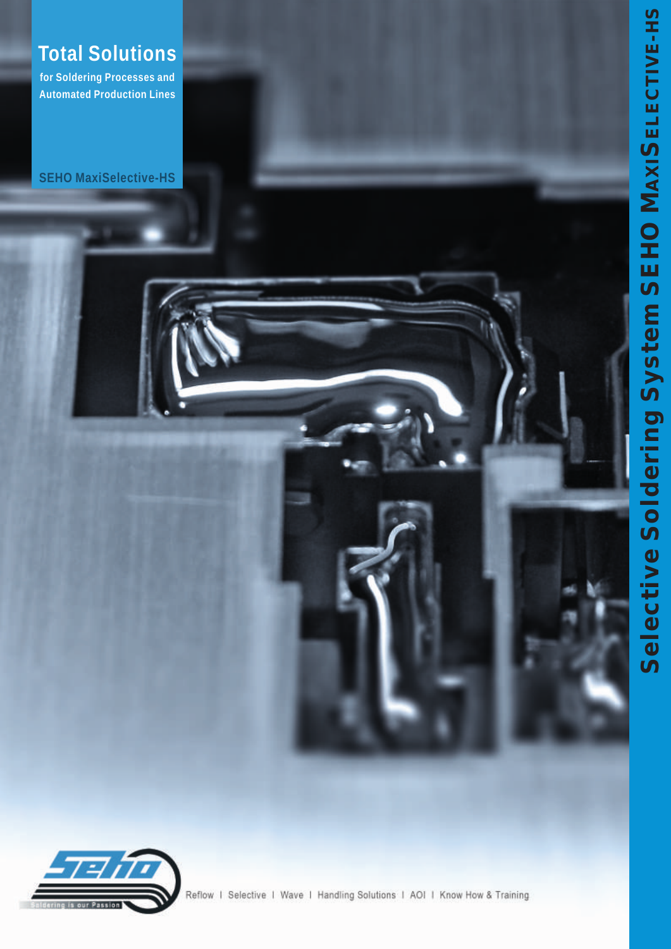# **Total Solutions**

for Soldering Processes and **Automated Production Lines** 

**SEHO MaxiSelective-HS** 





Reflow | Selective | Wave | Handling Solutions | AOI | Know How & Training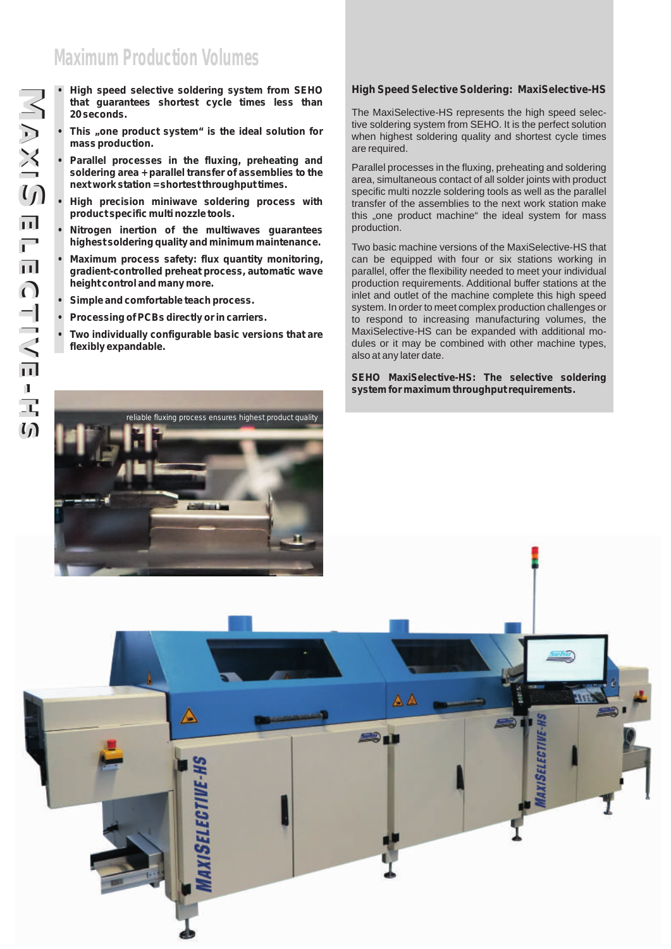## **Maximum Production Volumes**

- **High speed selective soldering system from SEHO that guarantees shortest cycle times less than 20 seconds.**
- **• This "one product system" is the ideal solution for mass production.**
- **• Parallel processes in the fluxing, preheating and soldering area + parallel transfer of assemblies to the next work station = shortest throughput times.**
- **• High precision miniwave soldering process with product specific multi nozzle tools.**
- **• Nitrogen inertion of the multiwaves guarantees highest soldering quality and minimum maintenance.**
- **• Maximum process safety: flux quantity monitoring, gradient-controlled preheat process, automatic wave height control and many more.**
- **• Simple and comfortable teach process.**
- **• Processing of PCBs directly or in carriers.**
- **• Two individually configurable basic versions that are flexibly expandable.**

#### **High Speed Selective Soldering: MaxiSelective-HS**

The MaxiSelective-HS represents the high speed selective soldering system from SEHO. It is the perfect solution when highest soldering quality and shortest cycle times are required.

Parallel processes in the fluxing, preheating and soldering area, simultaneous contact of all solder joints with product specific multi nozzle soldering tools as well as the parallel transfer of the assemblies to the next work station make this "one product machine" the ideal system for mass production.

Two basic machine versions of the MaxiSelective-HS that can be equipped with four or six stations working in parallel, offer the flexibility needed to meet your individual production requirements. Additional buffer stations at the inlet and outlet of the machine complete this high speed system. In order to meet complex production challenges or to respond to increasing manufacturing volumes, the MaxiSelective-HS can be expanded with additional modules or it may be combined with other machine types, also at any later date.

**SEHO MaxiSelective-HS: The selective soldering system for maximum throughput requirements.**



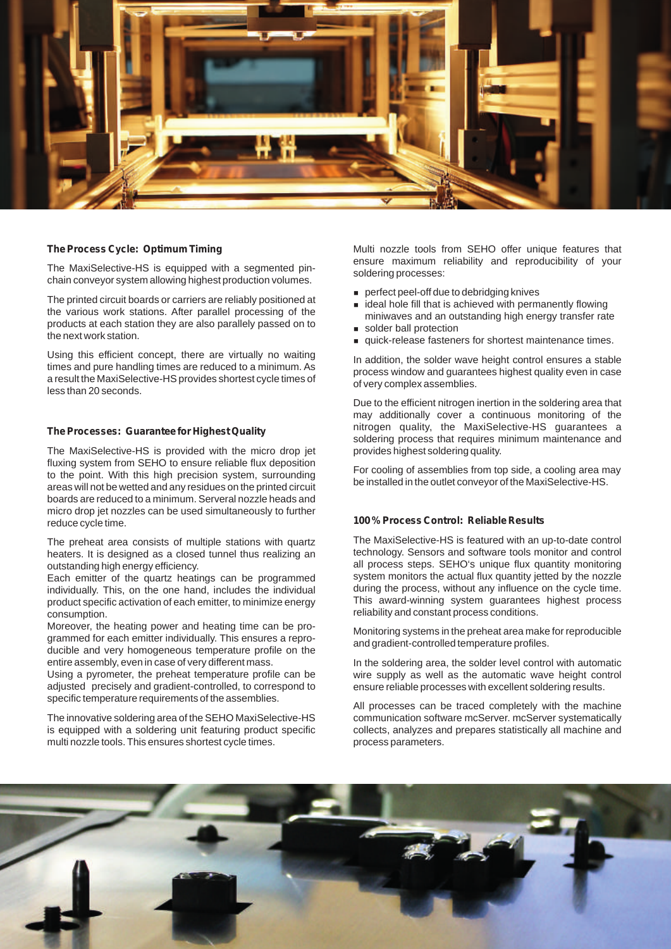

#### **The Process Cycle: Optimum Timing**

The MaxiSelective-HS is equipped with a segmented pinchain conveyor system allowing highest production volumes.

The printed circuit boards or carriers are reliably positioned at the various work stations. After parallel processing of the products at each station they are also parallely passed on to the next work station.

Using this efficient concept, there are virtually no waiting times and pure handling times are reduced to a minimum. As a result the MaxiSelective-HS provides shortest cycle times of less than 20 seconds.

#### **The Processes: Guarantee for Highest Quality**

The MaxiSelective-HS is provided with the micro drop jet fluxing system from SEHO to ensure reliable flux deposition to the point. With this high precision system, surrounding areas will not be wetted and any residues on the printed circuit boards are reduced to a minimum. Serveral nozzle heads and micro drop jet nozzles can be used simultaneously to further reduce cycle time.

The preheat area consists of multiple stations with quartz heaters. It is designed as a closed tunnel thus realizing an outstanding high energy efficiency.

Each emitter of the quartz heatings can be programmed individually. This, on the one hand, includes the individual product specific activation of each emitter, to minimize energy consumption.

Moreover, the heating power and heating time can be programmed for each emitter individually. This ensures a reproducible and very homogeneous temperature profile on the entire assembly, even in case of very different mass.

Using a pyrometer, the preheat temperature profile can be adjusted precisely and gradient-controlled, to correspond to specific temperature requirements of the assemblies.

The innovative soldering area of the SEHO MaxiSelective-HS is equipped with a soldering unit featuring product specific multi nozzle tools. This ensures shortest cycle times.

Multi nozzle tools from SEHO offer unique features that ensure maximum reliability and reproducibility of your soldering processes:

- **perfect peel-off due to debridging knives**<br>**p** ideal hole fill that is achieved with permit
- ideal hole fill that is achieved with permanently flowing miniwaves and an outstanding high energy transfer rate
- solder ball protection
- **quick-release fasteners for shortest maintenance times.**

In addition, the solder wave height control ensures a stable process window and guarantees highest quality even in case of very complex assemblies.

Due to the efficient nitrogen inertion in the soldering area that may additionally cover a continuous monitoring of the nitrogen quality, the MaxiSelective-HS guarantees a soldering process that requires minimum maintenance and provides highest soldering quality.

For cooling of assemblies from top side, a cooling area may be installed in the outlet conveyor of the MaxiSelective-HS.

#### **100 % Process Control: Reliable Results**

The MaxiSelective-HS is featured with an up-to-date control technology. Sensors and software tools monitor and control all process steps. SEHO's unique flux quantity monitoring system monitors the actual flux quantity jetted by the nozzle during the process, without any influence on the cycle time. This award-winning system guarantees highest process reliability and constant process conditions.

Monitoring systems in the preheat area make for reproducible and gradient-controlled temperature profiles.

In the soldering area, the solder level control with automatic wire supply as well as the automatic wave height control ensure reliable processes with excellent soldering results.

All processes can be traced completely with the machine communication software mcServer. mcServer systematically collects, analyzes and prepares statistically all machine and process parameters.